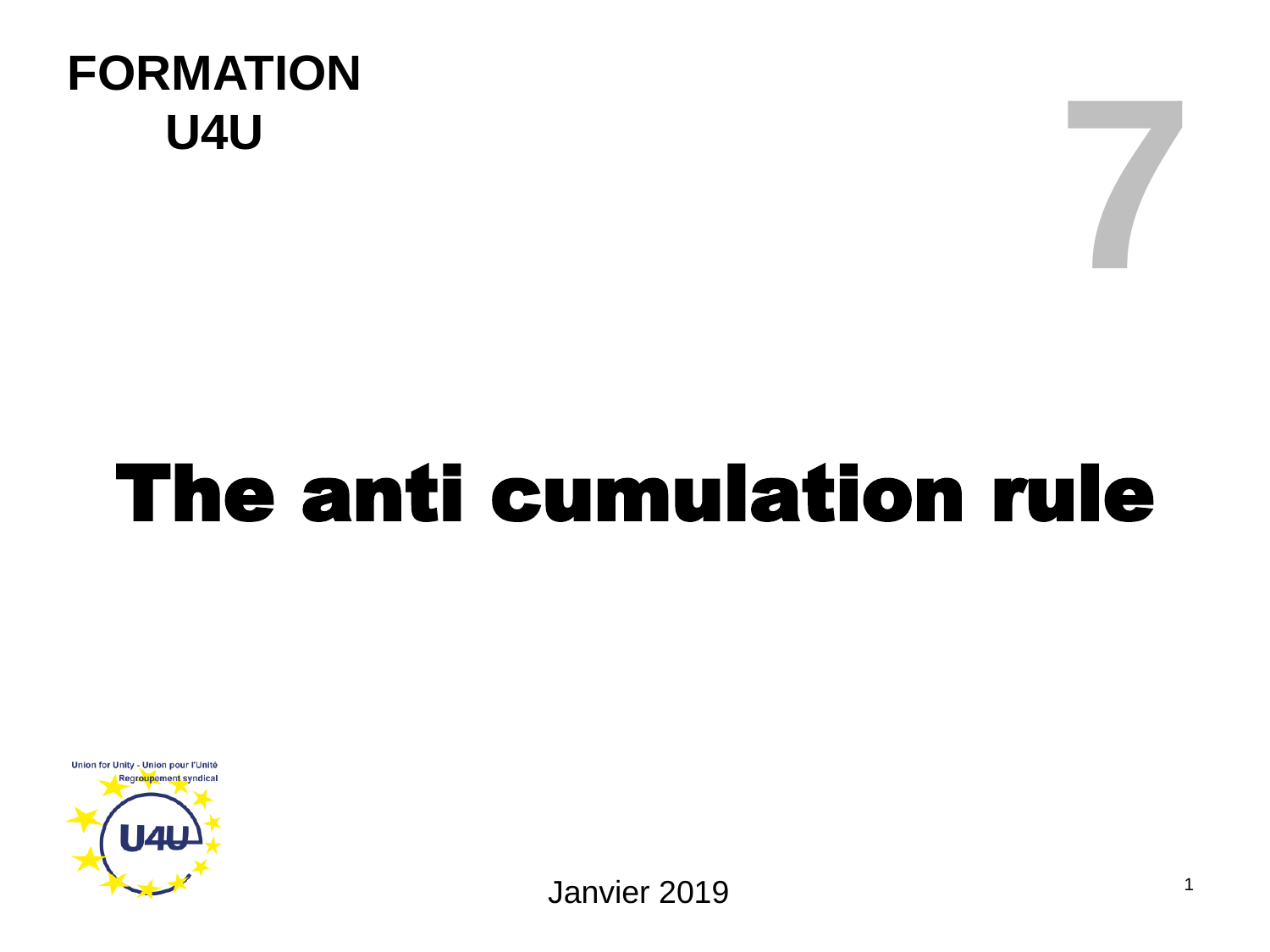#### **FORMATION U4U**

# The anti cumulation rule



Janvier 2019

**7**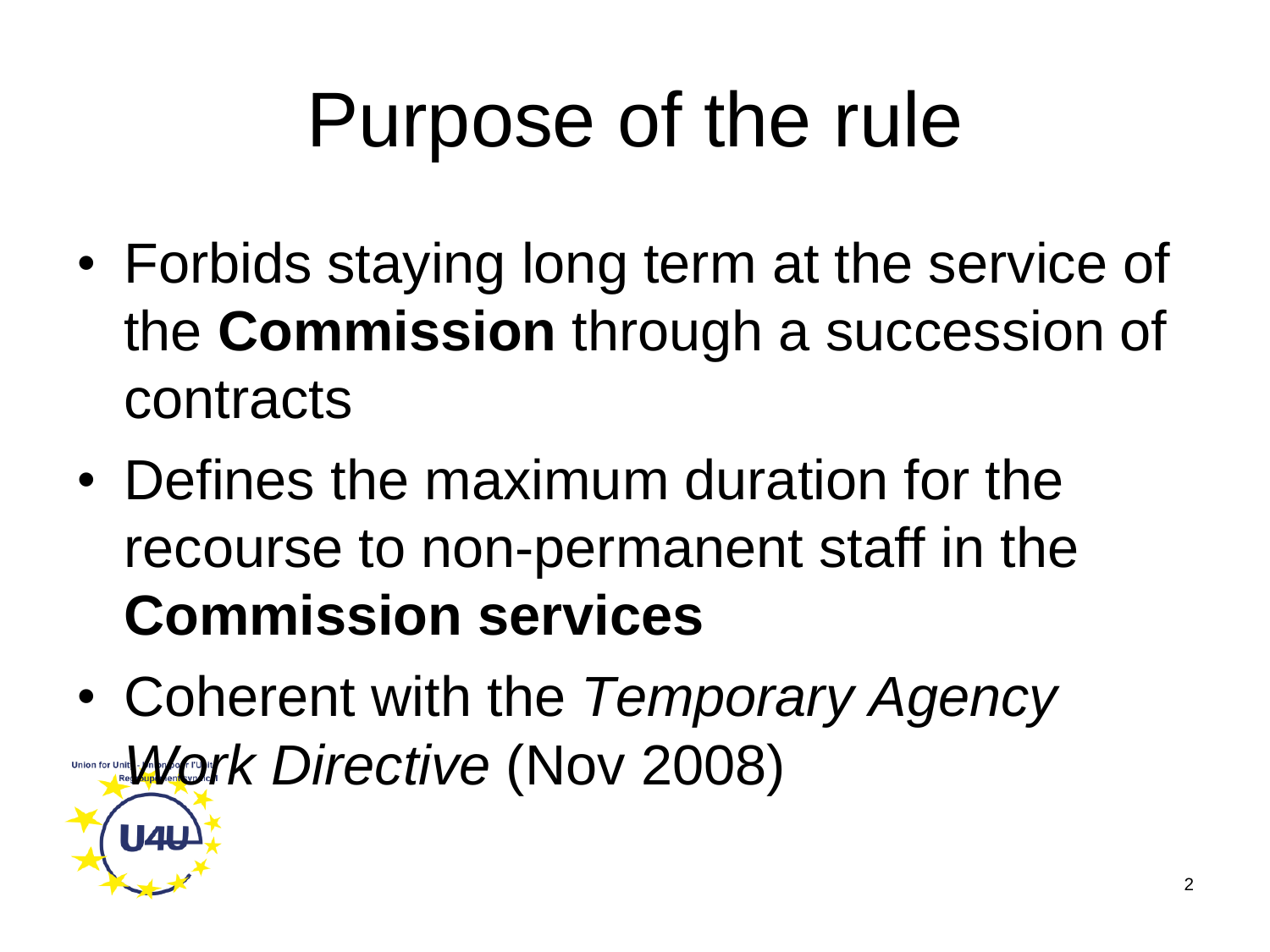#### Purpose of the rule

- Forbids staying long term at the service of the **Commission** through a succession of contracts
- Defines the maximum duration for the recourse to non-permanent staff in the **Commission services**
- Coherent with the *Temporary Agency <u>Union for Unity</u> AVork Directive* (Nov 2008)

**U4U**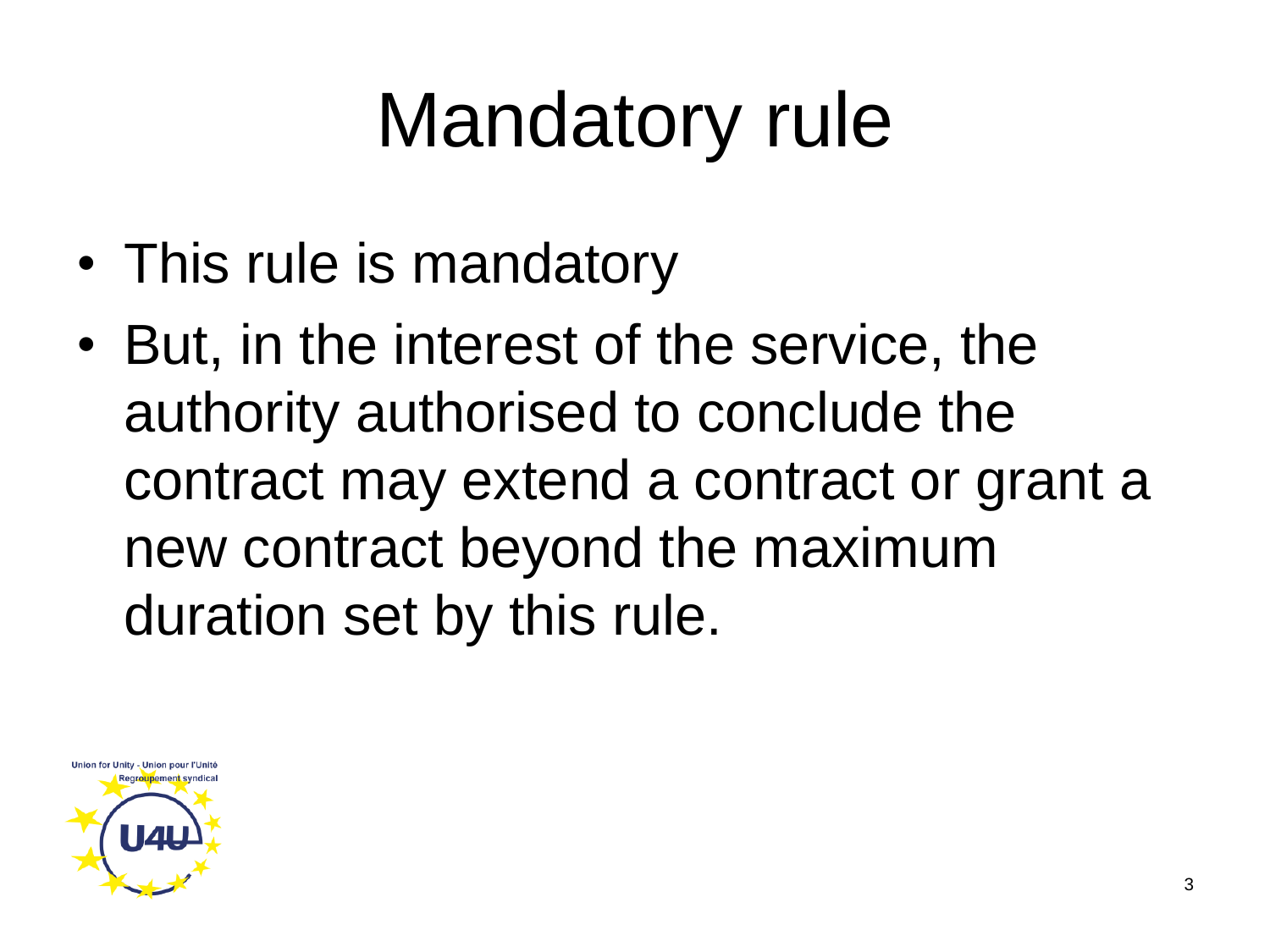## Mandatory rule

- This rule is mandatory
- But, in the interest of the service, the authority authorised to conclude the contract may extend a contract or grant a new contract beyond the maximum duration set by this rule.

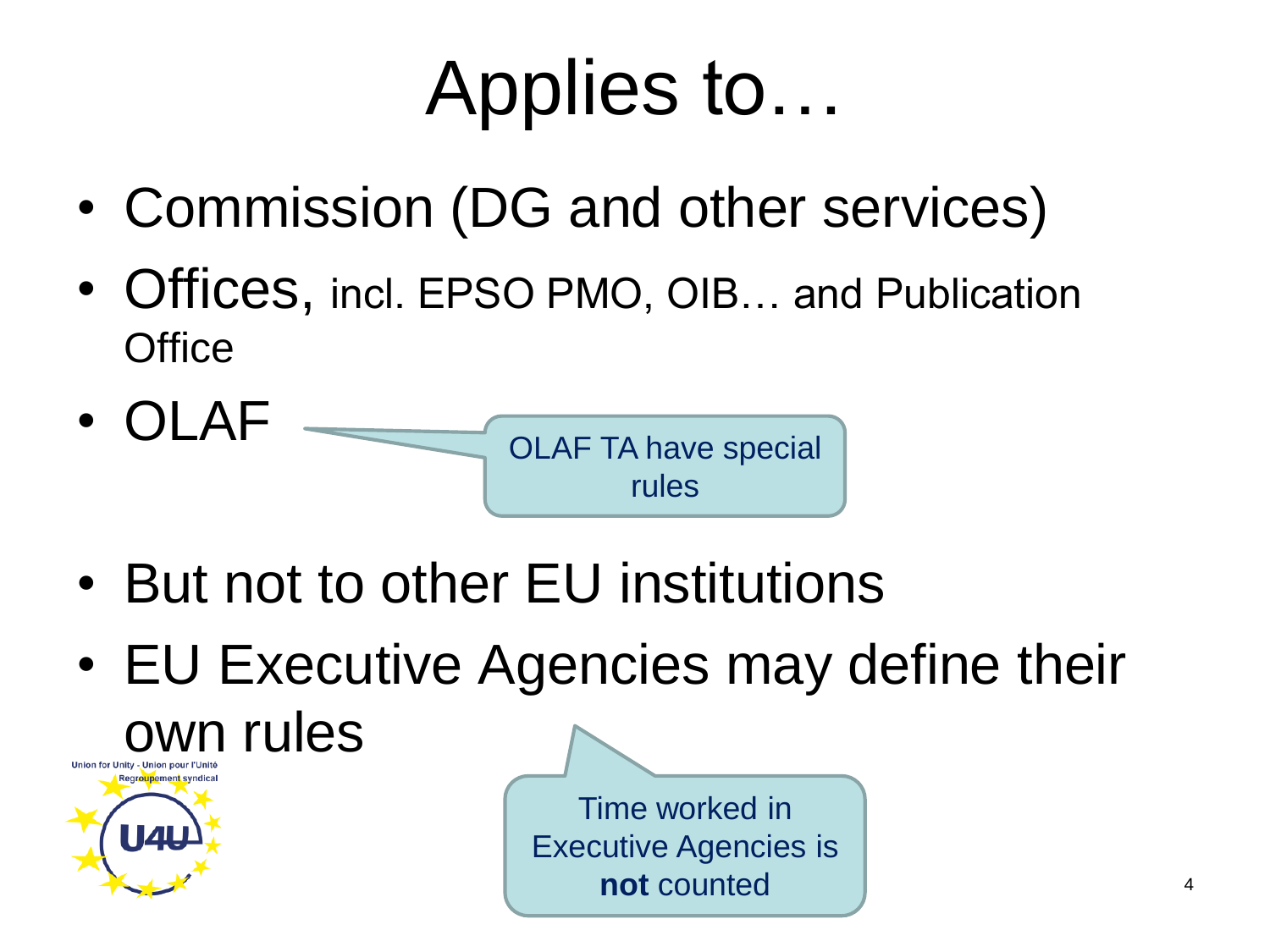#### Applies to…

- Commission (DG and other services)
- Offices, incl. EPSO PMO, OIB... and Publication **Office**



- But not to other EU institutions
- EU Executive Agencies may define their own rules Time worked in **U4L** Executive Agencies is

**not** counted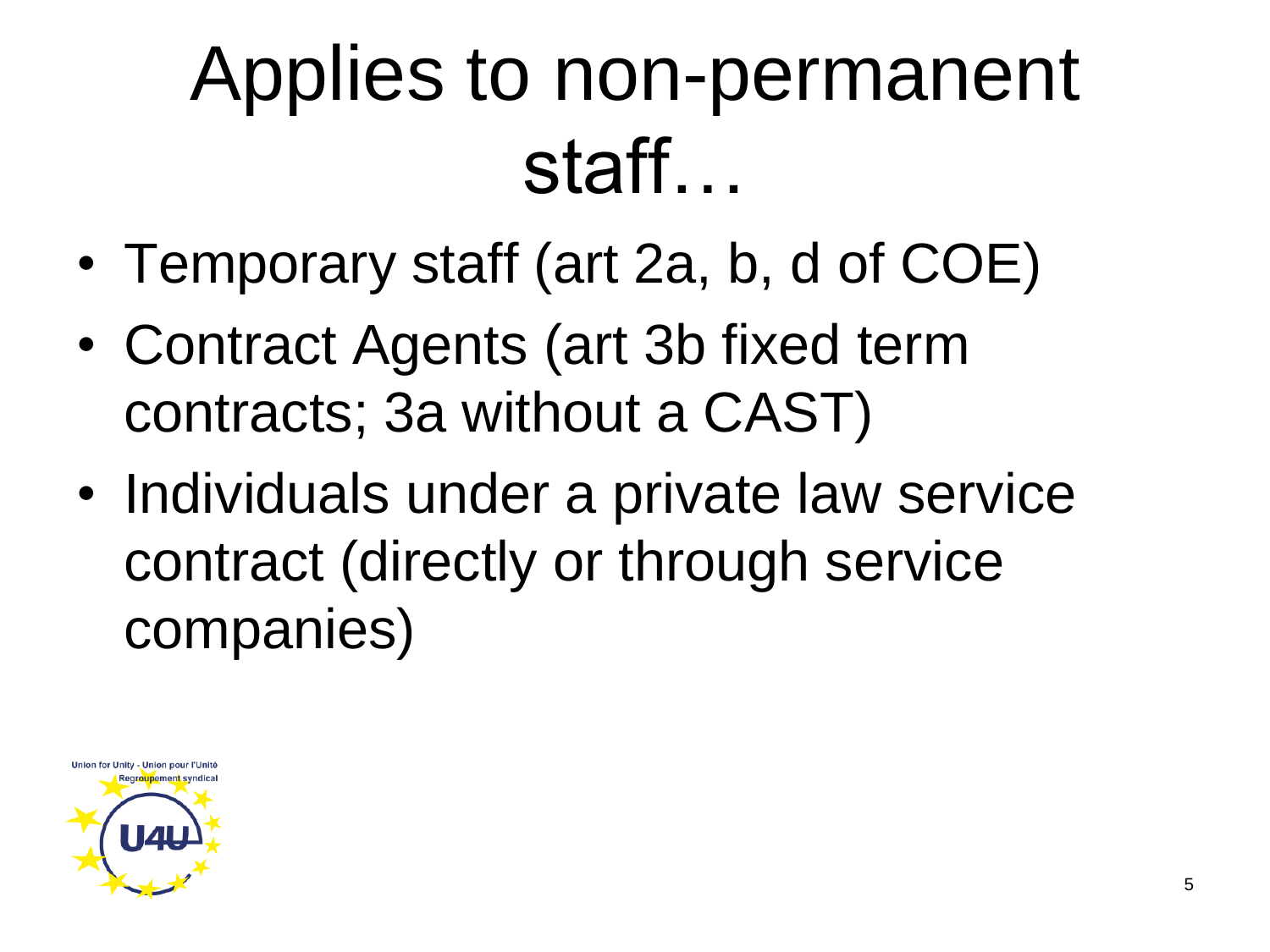#### Applies to non-permanent staff…

- Temporary staff (art 2a, b, d of COE)
- Contract Agents (art 3b fixed term contracts; 3a without a CAST)
- Individuals under a private law service contract (directly or through service companies)

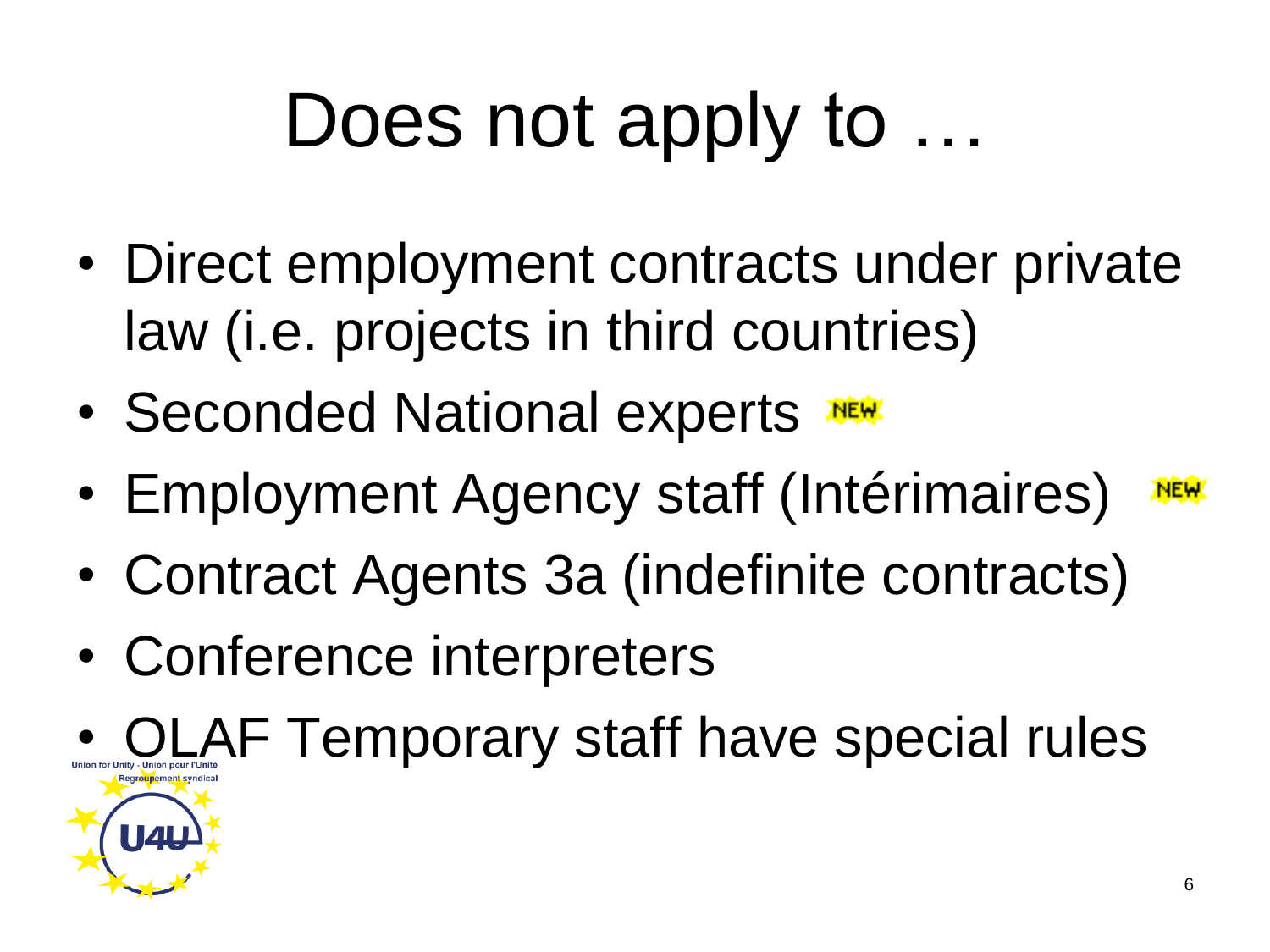### Does not apply to ...

- Direct employment contracts under private law (i.e. projects in third countries)
- Seconded National experts
- Employment Agency staff (Intérimaires) **NEW**
- Contract Agents 3a (indefinite contracts)
- Conference interpreters

**OLAF Temporary staff have special rules**  $\mathbf{L}$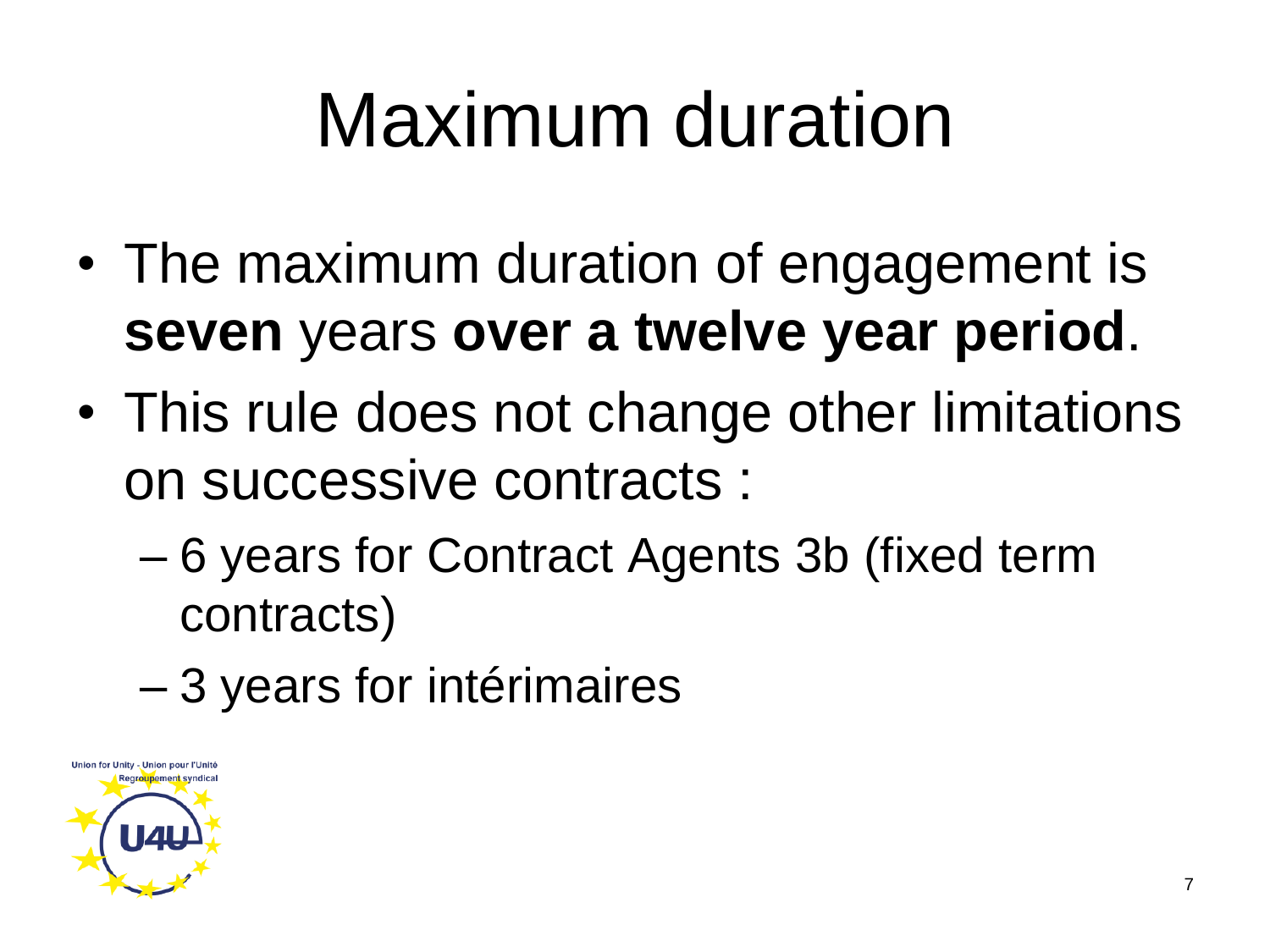#### Maximum duration

- The maximum duration of engagement is **seven** years **over a twelve year period**.
- This rule does not change other limitations on successive contracts :
	- 6 years for Contract Agents 3b (fixed term contracts)
	- 3 years for intérimaires

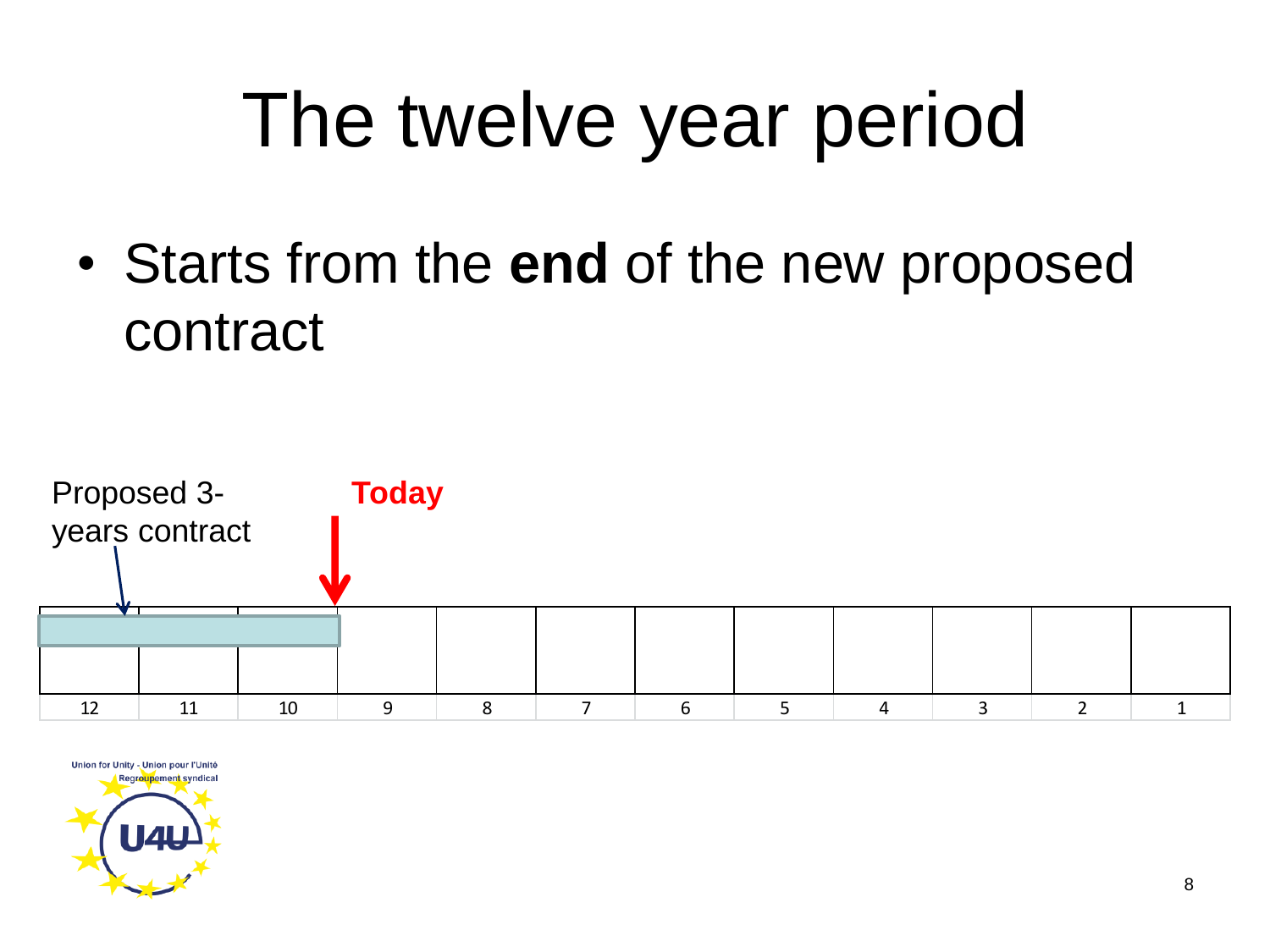#### The twelve year period

• Starts from the **end** of the new proposed contract



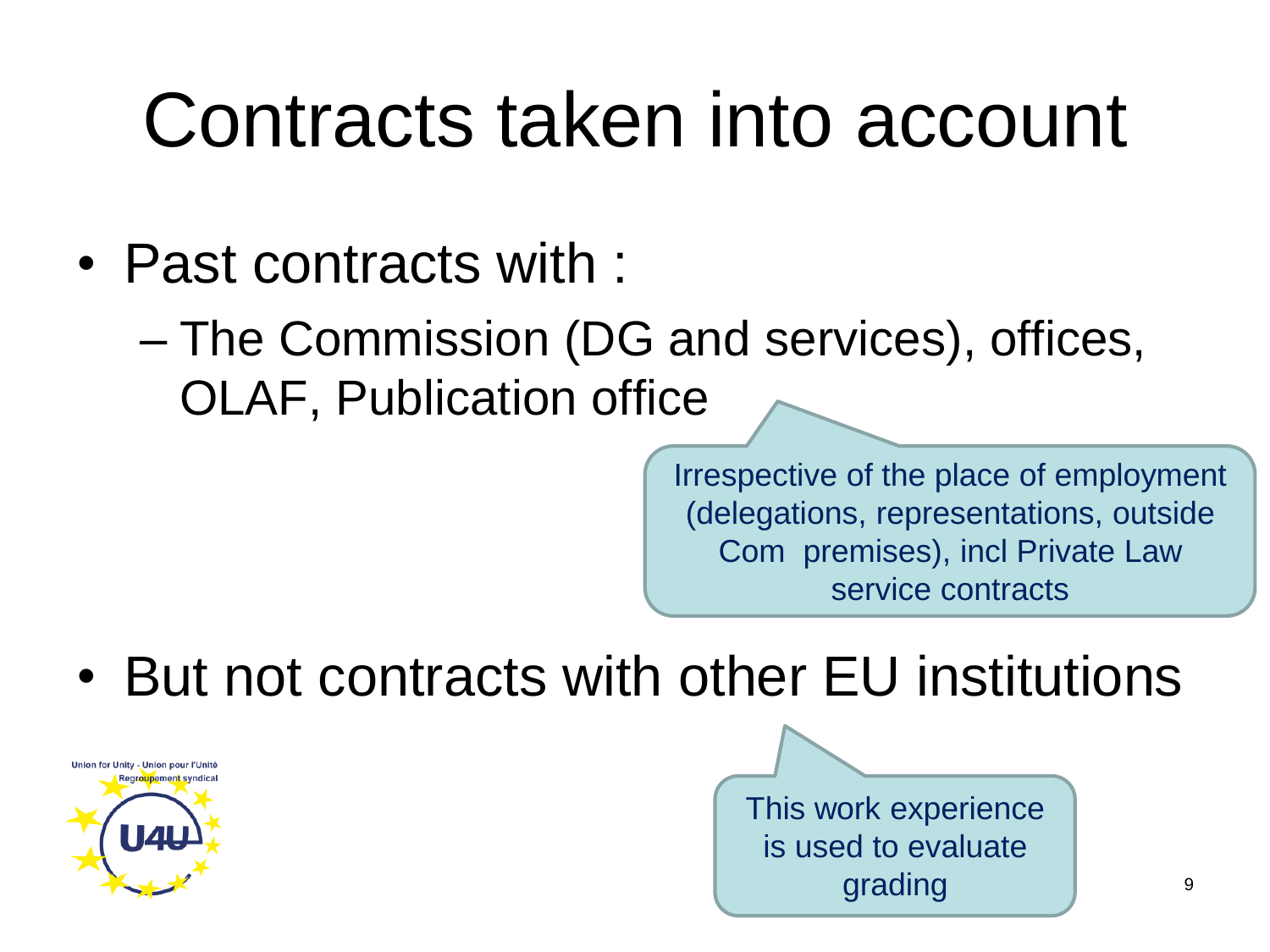#### Contracts taken into account

- Past contracts with :
	- The Commission (DG and services), offices, OLAF, Publication office

Irrespective of the place of employment (delegations, representations, outside Com premises), incl Private Law service contracts

• But not contracts with other EU institutions



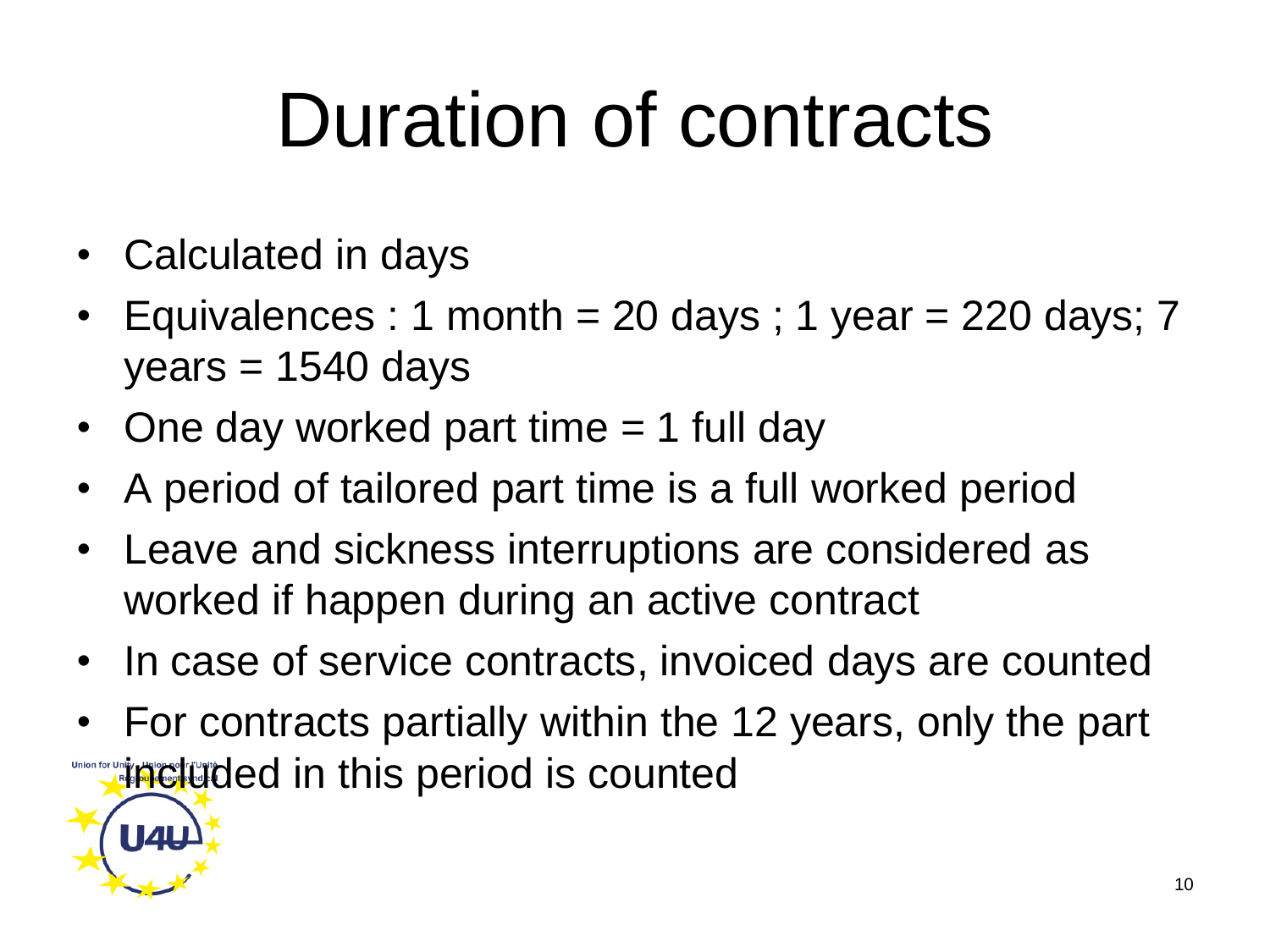#### Duration of contracts

• Calculated in days

**U<sub>4U</sub>** 

- Equivalences : 1 month = 20 days ; 1 year = 220 days; 7  $years = 1540 days$
- One day worked part time = 1 full day
- A period of tailored part time is a full worked period
- Leave and sickness interruptions are considered as worked if happen during an active contract
- In case of service contracts, invoiced days are counted
- For contracts partially within the 12 years, only the part **included in this period is counted**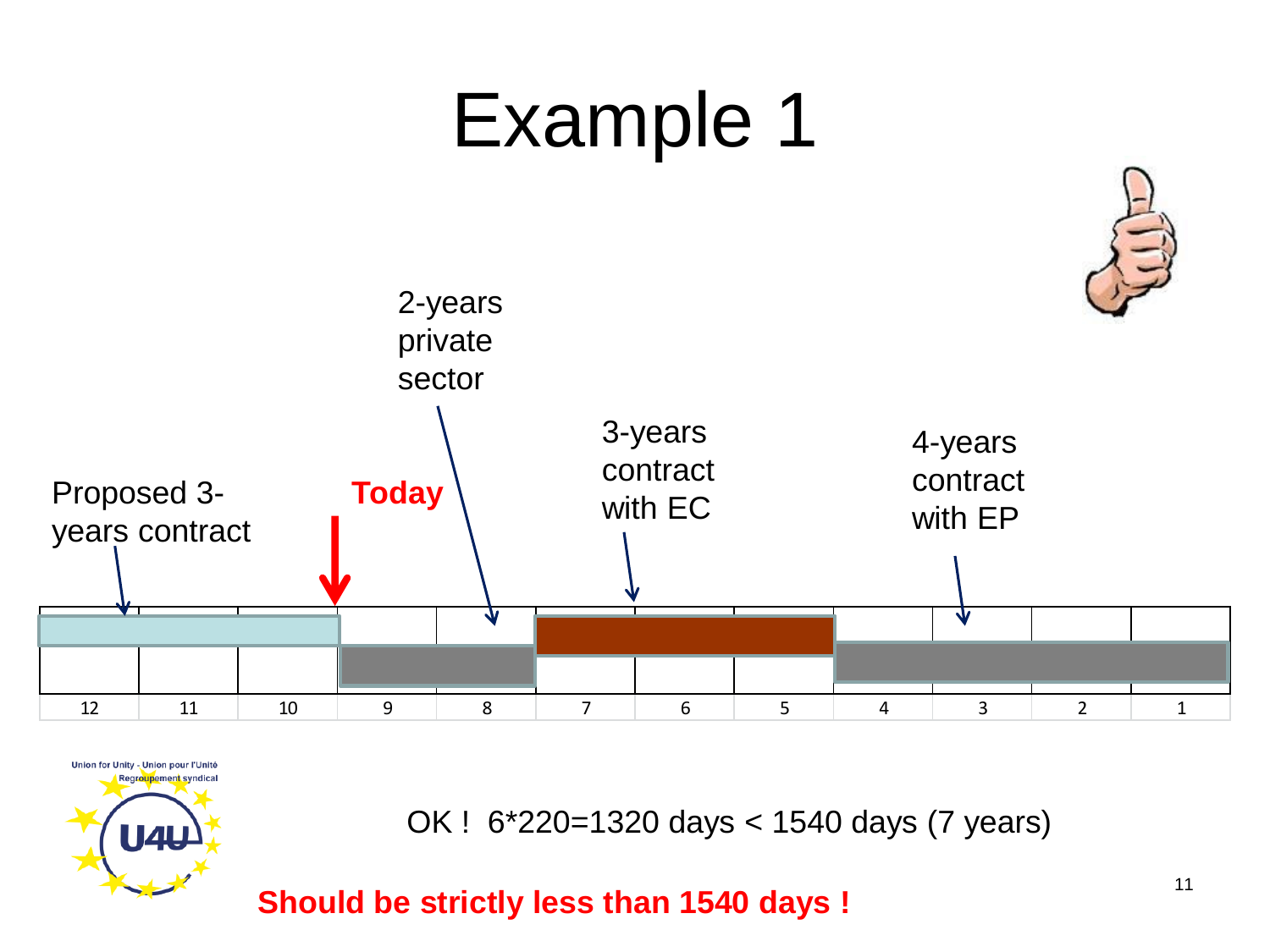#### Example 1





OK ! 6\*220=1320 days < 1540 days (7 years)

**Should be strictly less than 1540 days !**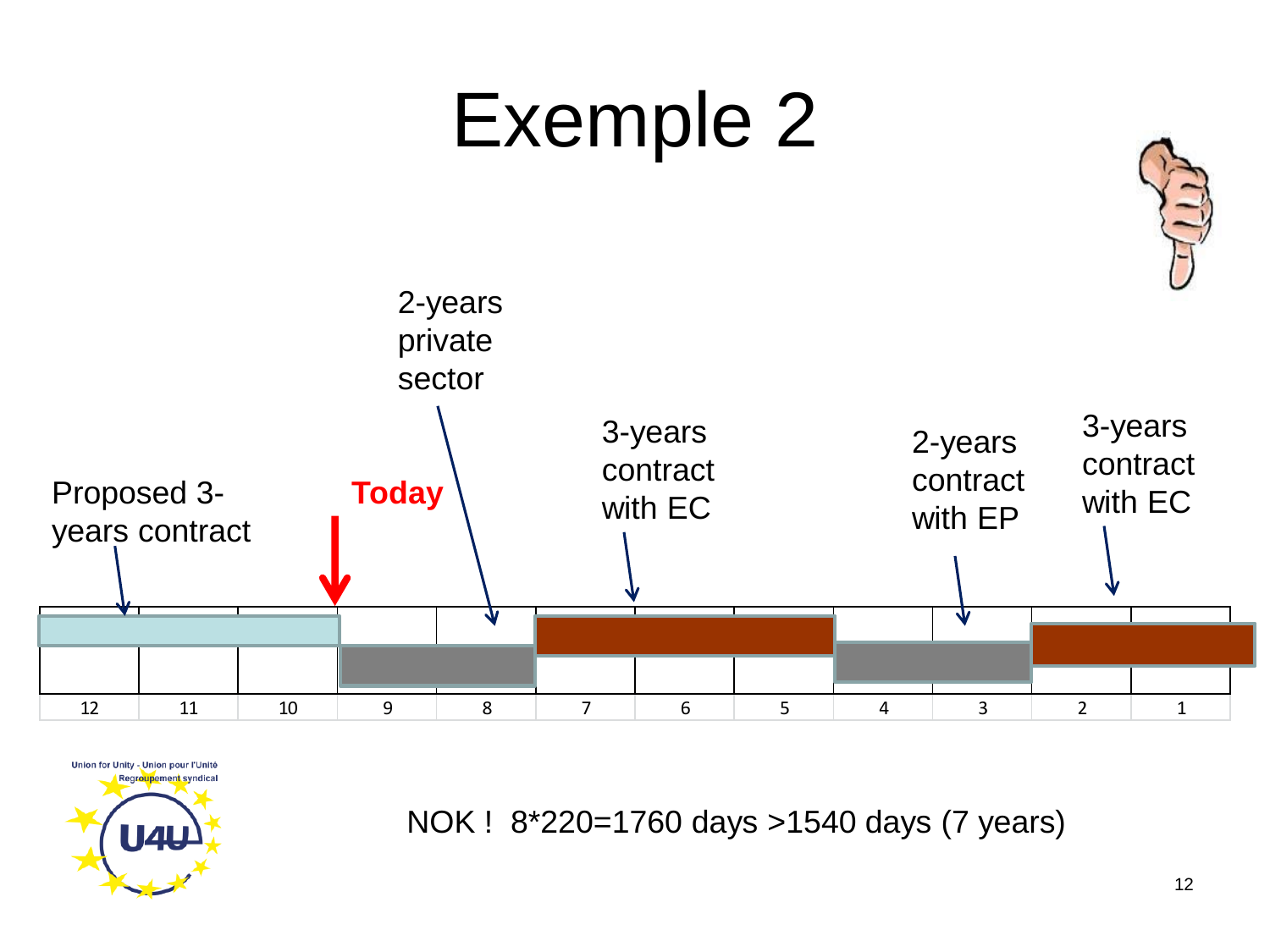



NOK ! 8\*220=1760 days >1540 days (7 years)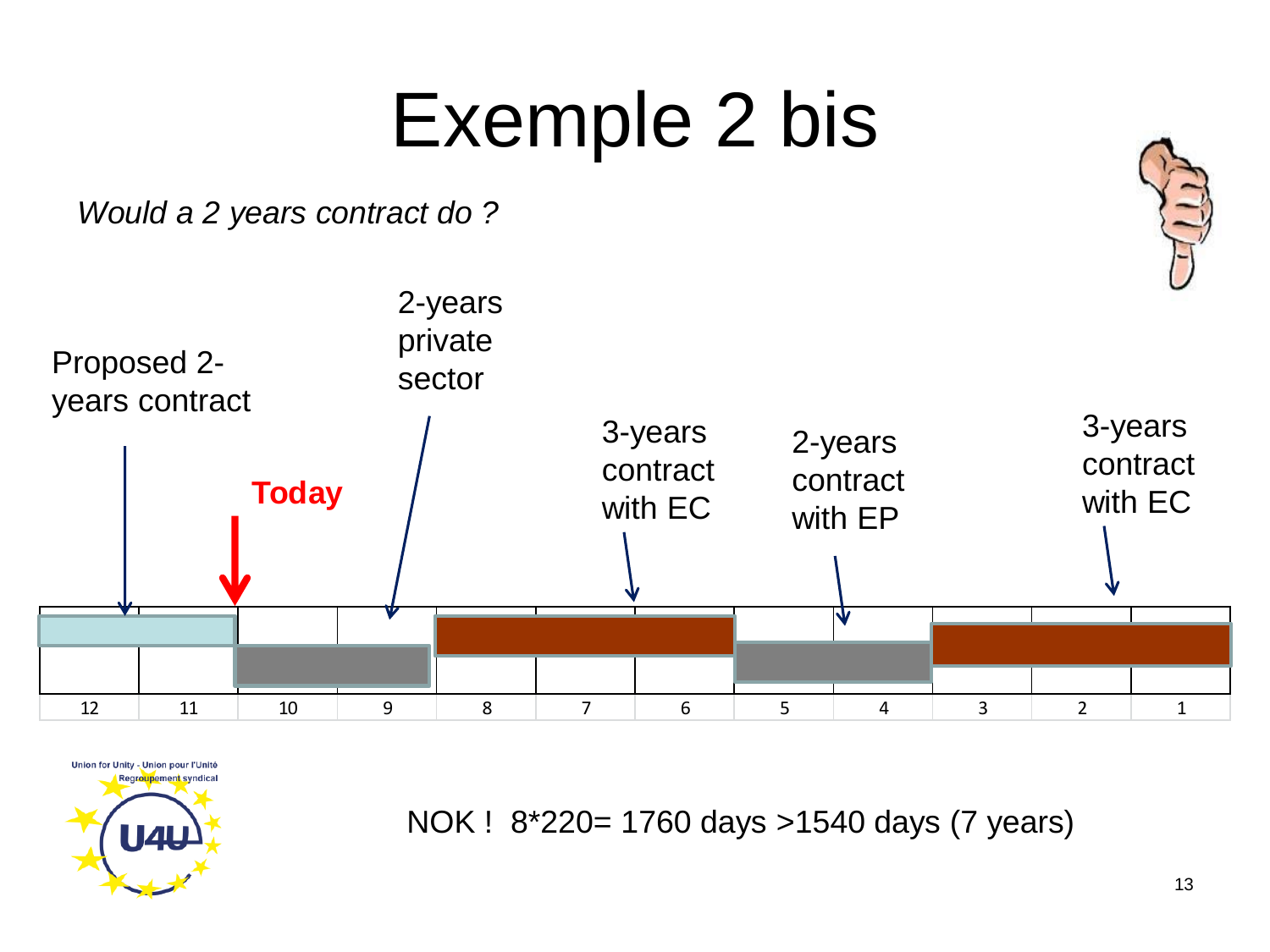#### Exemple 2 bis

*Would a 2 years contract do ?*





NOK ! 8\*220= 1760 days >1540 days (7 years)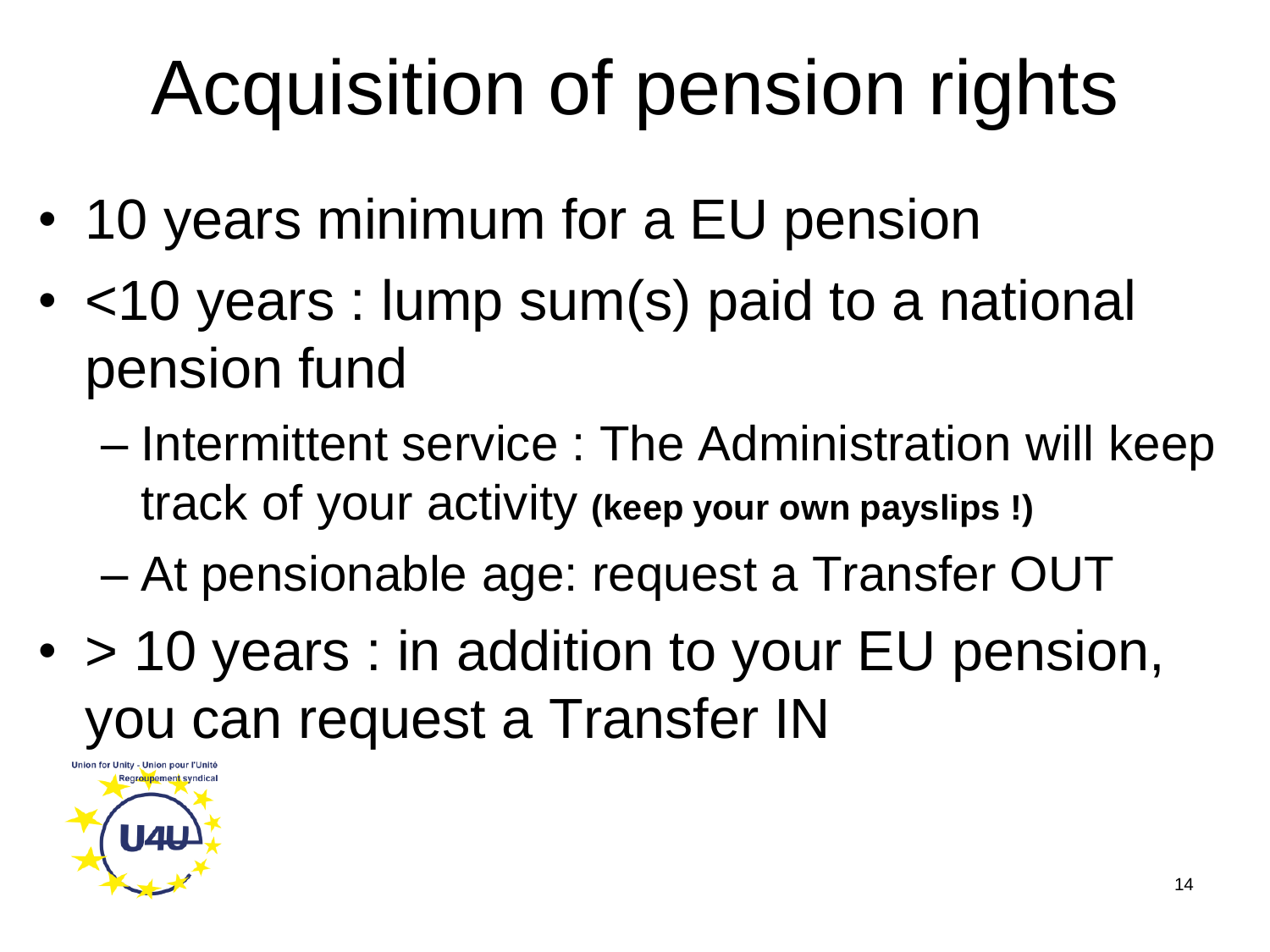## Acquisition of pension rights

- 10 years minimum for a EU pension
- <10 years : lump sum(s) paid to a national pension fund
	- Intermittent service : The Administration will keep track of your activity **(keep your own payslips !)**
	- At pensionable age: request a Transfer OUT
- > 10 years : in addition to your EU pension, you can request a Transfer IN